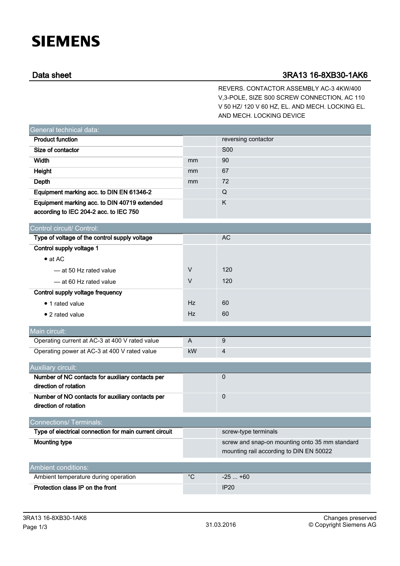## **SIEMENS**

## Data sheet 3RA13 16-8XB30-1AK6

REVERS. CONTACTOR ASSEMBLY AC-3 4KW/400 V,3-POLE, SIZE S00 SCREW CONNECTION, AC 110 V 50 HZ/ 120 V 60 HZ, EL. AND MECH. LOCKING EL. AND MECH. LOCKING DEVICE

| General technical data:                                                   |                |                                                |
|---------------------------------------------------------------------------|----------------|------------------------------------------------|
| <b>Product function</b>                                                   |                | reversing contactor                            |
| Size of contactor                                                         |                | <b>S00</b>                                     |
| <b>Width</b>                                                              | mm             | 90                                             |
| Height                                                                    | mm             | 67                                             |
| Depth                                                                     | mm             | 72                                             |
| Equipment marking acc. to DIN EN 61346-2                                  |                | Q                                              |
| Equipment marking acc. to DIN 40719 extended                              |                | K                                              |
| according to IEC 204-2 acc. to IEC 750                                    |                |                                                |
| Control circuit/ Control:                                                 |                |                                                |
| Type of voltage of the control supply voltage                             |                | AC                                             |
| Control supply voltage 1                                                  |                |                                                |
| $\bullet$ at AC                                                           |                |                                                |
| -at 50 Hz rated value                                                     | V              | 120                                            |
| — at 60 Hz rated value                                                    | $\vee$         | 120                                            |
| Control supply voltage frequency                                          |                |                                                |
| • 1 rated value                                                           | Hz             | 60                                             |
| • 2 rated value                                                           | Hz             | 60                                             |
| Main circuit:                                                             |                |                                                |
| Operating current at AC-3 at 400 V rated value                            | $\overline{A}$ | 9                                              |
| Operating power at AC-3 at 400 V rated value                              | kW             | $\overline{4}$                                 |
| <b>Auxiliary circuit:</b>                                                 |                |                                                |
| Number of NC contacts for auxiliary contacts per                          |                | $\mathbf 0$                                    |
| direction of rotation                                                     |                |                                                |
| Number of NO contacts for auxiliary contacts per<br>direction of rotation |                | $\mathbf 0$                                    |
|                                                                           |                |                                                |
| Connections/Terminals:                                                    |                |                                                |
| Type of electrical connection for main current circuit                    |                | screw-type terminals                           |
| <b>Mounting type</b>                                                      |                | screw and snap-on mounting onto 35 mm standard |
|                                                                           |                | mounting rail according to DIN EN 50022        |
| <b>Ambient conditions:</b>                                                |                |                                                |
| Ambient temperature during operation                                      | $^{\circ}$ C   | $-25+60$                                       |
| Protection class IP on the front                                          |                | <b>IP20</b>                                    |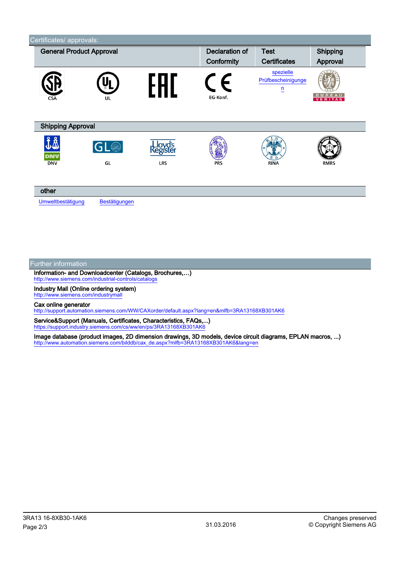| <b>General Product Approval</b> |                       | <b>Declaration of</b> | <b>Test</b> | Shipping                                          |                                 |
|---------------------------------|-----------------------|-----------------------|-------------|---------------------------------------------------|---------------------------------|
|                                 |                       |                       | Conformity  | <b>Certificates</b>                               | Approval                        |
| <b>CSA</b>                      | UL                    |                       | EG-Konf.    | spezielle<br>Prüfbescheinigunge<br>$\overline{u}$ | <b>BUREAU</b><br><b>VERITAS</b> |
| <b>Shipping Approval</b>        |                       |                       |             |                                                   |                                 |
| DNV<br><b>DNV</b>               | GL <sup>O</sup><br>GL | egister<br><b>LRS</b> | <b>PRS</b>  | <b>RINA</b>                                       | <b>RMRS</b>                     |
| other<br>Umweltbestätigung      | Bestätigungen         |                       |             |                                                   |                                 |

## Further information

Information- and Downloadcenter (Catalogs, Brochures,…) <http://www.siemens.com/industrial-controls/catalogs>

Industry Mall (Online ordering system) <http://www.siemens.com/industrymall>

Cax online generator

<http://support.automation.siemens.com/WW/CAXorder/default.aspx?lang=en&mlfb=3RA13168XB301AK6>

Service&Support (Manuals, Certificates, Characteristics, FAQs,...) <https://support.industry.siemens.com/cs/ww/en/ps/3RA13168XB301AK6>

Image database (product images, 2D dimension drawings, 3D models, device circuit diagrams, EPLAN macros, ...) [http://www.automation.siemens.com/bilddb/cax\\_de.aspx?mlfb=3RA13168XB301AK6&lang=en](http://www.automation.siemens.com/bilddb/cax_de.aspx?mlfb=3RA13168XB301AK6&lang=en)